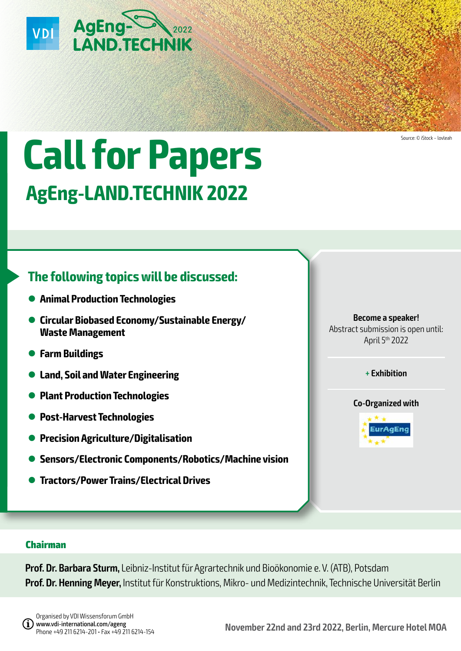

# **Call for Papers AgEng-LAND.TECHNIK 2022**

# **The following topics will be discussed:**

- **Animal Production Technologies**
- **Circular Biobased Economy/Sustainable Energy/ Waste Management**
- **Farm Buildings**

**Chairman**

- l **Land, Soil and Water Engineering**
- **Plant Production Technologies**
- **Post-Harvest Technologies**
- **Precision Agriculture/Digitalisation**
- **Sensors/Electronic Components/Robotics/Machine vision**

**Prof. Dr. Barbara Sturm,** Leibniz-Institut für Agrartechnik und Bioökonomie e. V. (ATB), Potsdam

**Prof. Dr. Henning Meyer,** Institut für Konstruktions, Mikro- und Medizintechnik, Technische Universität Berlin

l **Tractors/Power Trains/Electrical Drives**

**Become a speaker!** Abstract submission is open until: April 5th 2022

Source: © iStock – lovleah

**+ Exhibition**





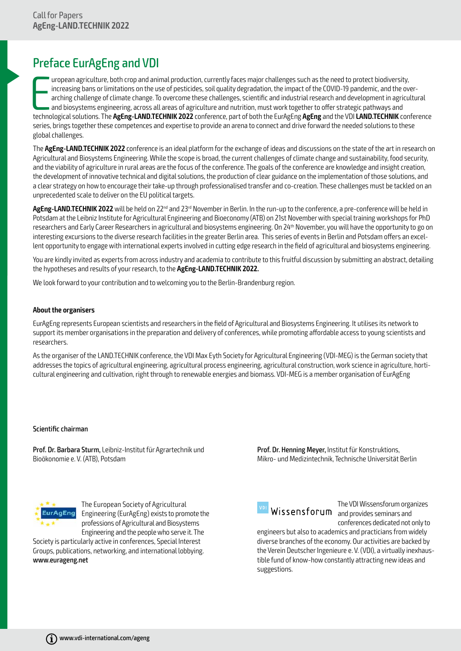# Preface EurAgEng and VDI

uropean agriculture, both crop and animal production, currently faces major challenges such as the need to protect biodiversity, increasing bans or limitations on the use of pesticides, soil quality degradation, the impact uropean agriculture, both crop and animal production, currently faces major challenges such as the need to protect biodiversity, increasing bans or limitations on the use of pesticides, soil quality degradation, the impact of the COVID-19 pandemic, and the overarching challenge of climate change. To overcome these challenges, scientific and industrial research and development in agricultural and biosystems engineering, across all areas of agriculture and nutrition, must work together to offer strategic pathways and series, brings together these competences and expertise to provide an arena to connect and drive forward the needed solutions to these global challenges.

The **AgEng-LAND.TECHNIK 2022** conference is an ideal platform for the exchange of ideas and discussions on the state of the art in research on Agricultural and Biosystems Engineering. While the scope is broad, the current challenges of climate change and sustainability, food security, and the viability of agriculture in rural areas are the focus of the conference. The goals of the conference are knowledge and insight creation, the development of innovative technical and digital solutions, the production of clear guidance on the implementation of those solutions, and a clear strategy on how to encourage their take-up through professionalised transfer and co-creation. These challenges must be tackled on an unprecedented scale to deliver on the EU political targets.

AgEng-LAND.TECHNIK 2022 will be held on 22<sup>nd</sup> and 23<sup>rd</sup> November in Berlin. In the run-up to the conference, a pre-conference will be held in Potsdam at the Leibniz Institute for Agricultural Engineering and Bioeconomy (ATB) on 21st November with special training workshops for PhD researchers and Early Career Researchers in agricultural and biosystems engineering. On 24<sup>th</sup> November, you will have the opportunity to go on interesting excursions to the diverse research facilities in the greater Berlin area. This series of events in Berlin and Potsdam offers an excellent opportunity to engage with international experts involved in cutting edge research in the field of agricultural and biosystems engineering.

You are kindly invited as experts from across industry and academia to contribute to this fruitful discussion by submitting an abstract, detailing the hypotheses and results of your research, to the **AgEng-LAND.TECHNIK 2022.**

We look forward to your contribution and to welcoming you to the Berlin-Brandenburg region.

#### **About the organisers**

EurAgEng represents European scientists and researchers in the field of Agricultural and Biosystems Engineering. It utilises its network to support its member organisations in the preparation and delivery of conferences, while promoting affordable access to young scientists and researchers.

As the organiser of the LAND.TECHNIK conference, the VDI Max Eyth Society for Agricultural Engineering (VDI-MEG) is the German society that addresses the topics of agricultural engineering, agricultural process engineering, agricultural construction, work science in agriculture, horticultural engineering and cultivation, right through to renewable energies and biomass. VDI-MEG is a member organisation of EurAgEng

#### Scientific chairman

Prof. Dr. Barbara Sturm, Leibniz-Institut für Agrartechnik und Bioökonomie e. V. (ATB), Potsdam

Prof. Dr. Henning Meyer, Institut für Konstruktions, Mikro- und Medizintechnik, Technische Universität Berlin



The European Society of Agricultural Engineering (EurAgEng) exists to promote the professions of Agricultural and Biosystems Engineering and the people who serve it. The

Society is particularly active in conferences, Special Interest Groups, publications, networking, and international lobbying. www.eurageng.net



The VDI Wissensforum organizes and provides seminars and vertex and provides seminars and vertex and vertex seminary and vertex seminary semi<br>Missensforum and provides seminars and conferences dedicated not only to

engineers but also to academics and practicians from widely diverse branches of the economy. Our activities are backed by the Verein Deutscher Ingenieure e. V. (VDI), a virtually inexhaustible fund of know-how constantly attracting new ideas and suggestions.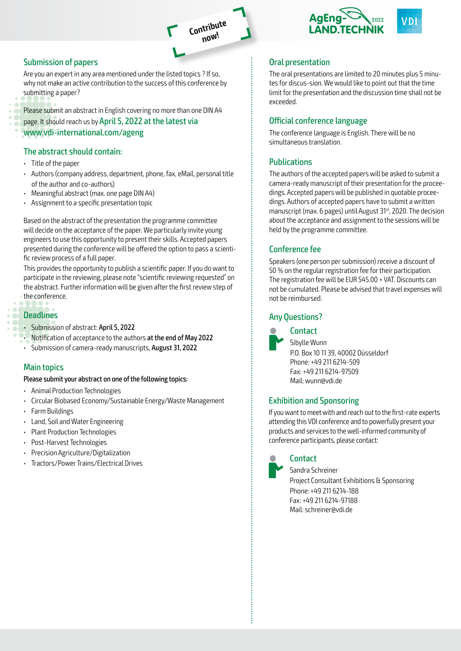

# Submission of papers

Are you an expert in any area mentioned under the listed topics ? If so, why not make an active contribution to the success of this conference by submitting a paper?

Please submit an abstract in English covering no more than one DIN A4 page. It should reach us by April 5, 2022 at the latest via www.vdi-international.com/ageng

#### The abstract should contain:

- Title of the paper
- Authors (company address, department, phone, fax, eMail, personal title of the author and co-authors)
- Meaningful abstract (max. one page DIN A4)
- Assignment to a specific presentation topic

Based on the abstract of the presentation the programme committee will decide on the acceptance of the paper. We particularly invite young engineers to use this opportunity to present their skills. Accepted papers presented during the conference will be offered the option to pass a scientific review process of a full paper.

This provides the opportunity to publish a scientific paper. If you do want to participate in the reviewing, please note "scientific reviewing requested" on the abstract. Further information will be given after the first review step of the conference.

#### **Deadlines**

- Submission of abstract: April 5, 2022
- Notification of acceptance to the authors at the end of May 2022
- Submission of camera-ready manuscripts, August 31, 2022

#### Main topics

#### Please submit your abstract on one of the following topics:

- Animal Production Technologies
- Circular Biobased Economy/Sustainable Energy/Waste Management
- Farm Buildings
- Land, Soil and Water Engineering
- Plant Production Technologies
- Post-Harvest Technologies
- Precision Agriculture/Digitalization
- Tractors/Power Trains/Electrical Drives



## Oral presentation

The oral presentations are limited to 20 minutes plus 5 minutes for discus-sion. We would like to point out that the time limit for the presentation and the discussion time shall not be exceeded.

### Official conference language

The conference language is English. There will be no simultaneous translation.

# **Publications**

The authors of the accepted papers will be asked to submit a camera-ready manuscript of their presentation for the proceedings. Accepted papers will be published in quotable proceedings. Authors of accepted papers have to submit a written manuscript (max. 6 pages) until August 31<sup>st</sup>, 2020. The decision about the acceptance and assignment to the sessions will be held by the programme committee.

# Conference fee

Speakers (one person per submission) receive a discount of 50 % on the regular registration fee for their participation. The registration fee will be EUR 545.00 + VAT. Discounts can not be cumulated. Please be advised that travel expenses will not be reimbursed.

# Any Questions?



**Contact** 

Sibylle Wunn P.O. Box 10 11 39, 40002 Düsseldorf Phone: +49 211 6214-509 Fax: +49 211 6214-97509 Mail: wunn@vdi.de

# Exhibition and Sponsoring

If you want to meet with and reach out to the first-rate experts attending this VDI conference and to powerfully present your products and services to the well-informed community of conference participants, please contact:

# **Contact**

Sandra Schreiner Project Consultant Exhibitions & Sponsoring Phone: +49 211 6214-188 Fax: +49 211 6214-97188 Mail: schreiner@vdi.de